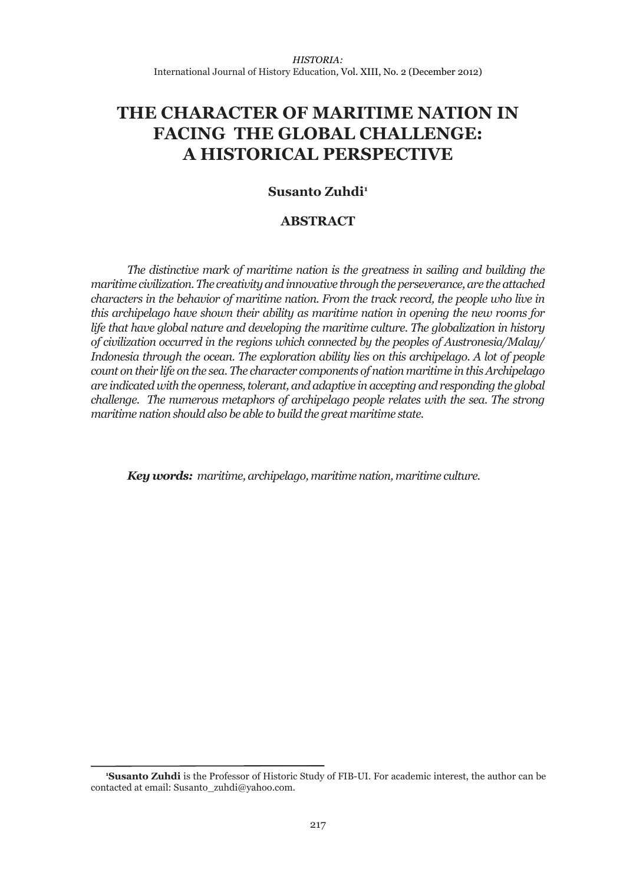# **THE CHARACTER OF MARITIME NATION IN FACING THE GLOBAL CHALLENGE: A HISTORICAL PERSPECTIVE**

## **Susanto Zuhdi<sup>1</sup>**

### **ABSTRACT**

*The distinctive mark of maritime nation is the greatness in sailing and building the maritime civilization. The creativity and innovative through the perseverance, are the attached characters in the behavior of maritime nation. From the track record, the people who live in this archipelago have shown their ability as maritime nation in opening the new rooms for life that have global nature and developing the maritime culture. The globalization in history of civilization occurred in the regions which connected by the peoples of Austronesia/Malay/ Indonesia through the ocean. The exploration ability lies on this archipelago. A lot of people count on their life on the sea. The character components of nation maritime in this Archipelago are indicated with the openness, tolerant, and adaptive in accepting and responding the global challenge. The numerous metaphors of archipelago people relates with the sea. The strong maritime nation should also be able to build the great maritime state.*

*Key words: maritime, archipelago, maritime nation, maritime culture.*

**<sup>1</sup> Susanto Zuhdi** is the Professor of Historic Study of FIB-UI. For academic interest, the author can be contacted at email: Susanto\_zuhdi@yahoo.com.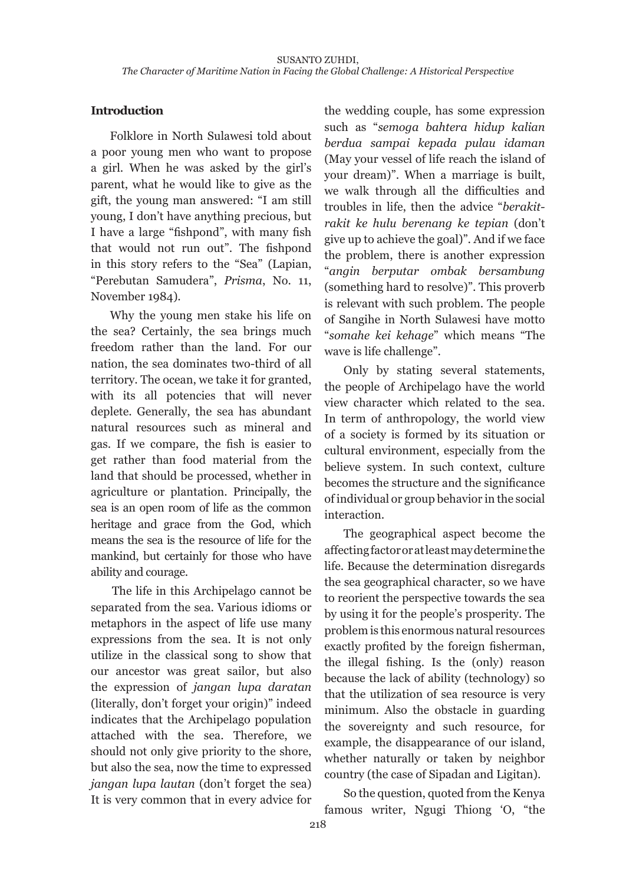## **Introduction**

Folklore in North Sulawesi told about a poor young men who want to propose a girl. When he was asked by the girl's parent, what he would like to give as the gift, the young man answered: "I am still young, I don't have anything precious, but I have a large "fishpond", with many fish that would not run out". The fishpond in this story refers to the "Sea" (Lapian, "Perebutan Samudera", *Prisma*, No. 11, November 1984).

Why the young men stake his life on the sea? Certainly, the sea brings much freedom rather than the land. For our nation, the sea dominates two-third of all territory. The ocean, we take it for granted, with its all potencies that will never deplete. Generally, the sea has abundant natural resources such as mineral and gas. If we compare, the fish is easier to get rather than food material from the land that should be processed, whether in agriculture or plantation. Principally, the sea is an open room of life as the common heritage and grace from the God, which means the sea is the resource of life for the mankind, but certainly for those who have ability and courage.

The life in this Archipelago cannot be separated from the sea. Various idioms or metaphors in the aspect of life use many expressions from the sea. It is not only utilize in the classical song to show that our ancestor was great sailor, but also the expression of *jangan lupa daratan* (literally, don't forget your origin)" indeed indicates that the Archipelago population attached with the sea. Therefore, we should not only give priority to the shore, but also the sea, now the time to expressed *jangan lupa lautan* (don't forget the sea) It is very common that in every advice for

the wedding couple, has some expression such as "*semoga bahtera hidup kalian berdua sampai kepada pulau idaman*  (May your vessel of life reach the island of your dream)". When a marriage is built, we walk through all the difficulties and troubles in life, then the advice "*berakitrakit ke hulu berenang ke tepian* (don't give up to achieve the goal)". And if we face the problem, there is another expression "*angin berputar ombak bersambung*  (something hard to resolve)". This proverb is relevant with such problem. The people of Sangihe in North Sulawesi have motto "*somahe kei kehage*" which means "The wave is life challenge".

Only by stating several statements, the people of Archipelago have the world view character which related to the sea. In term of anthropology, the world view of a society is formed by its situation or cultural environment, especially from the believe system. In such context, culture becomes the structure and the significance of individual or group behavior in the social interaction.

The geographical aspect become the affecting factor or at least may determine the life. Because the determination disregards the sea geographical character, so we have to reorient the perspective towards the sea by using it for the people's prosperity. The problem is this enormous natural resources exactly profited by the foreign fisherman, the illegal fishing. Is the (only) reason because the lack of ability (technology) so that the utilization of sea resource is very minimum. Also the obstacle in guarding the sovereignty and such resource, for example, the disappearance of our island, whether naturally or taken by neighbor country (the case of Sipadan and Ligitan).

So the question, quoted from the Kenya famous writer, Ngugi Thiong 'O, "the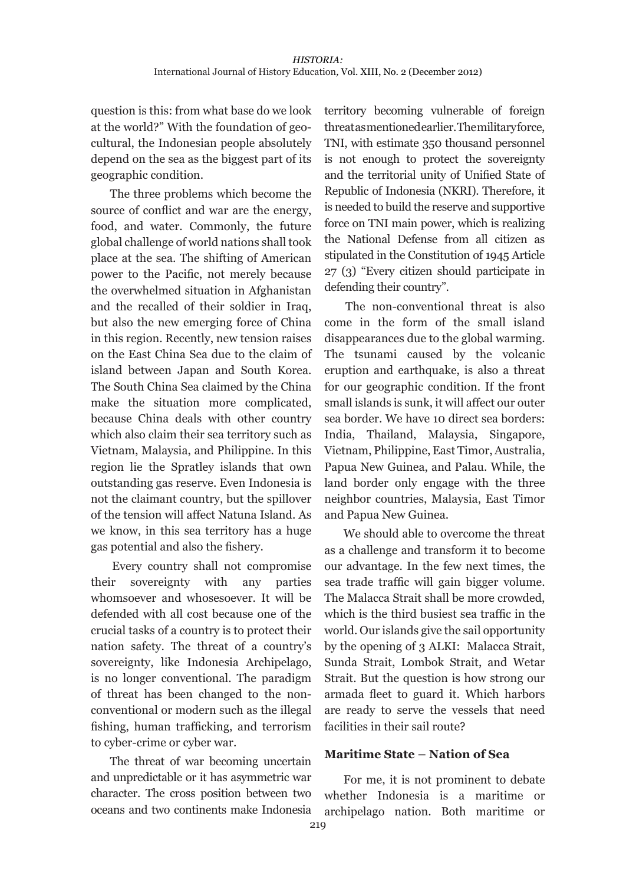question is this: from what base do we look at the world?" With the foundation of geocultural, the Indonesian people absolutely depend on the sea as the biggest part of its geographic condition.

The three problems which become the source of conflict and war are the energy, food, and water. Commonly, the future global challenge of world nations shall took place at the sea. The shifting of American power to the Pacific, not merely because the overwhelmed situation in Afghanistan and the recalled of their soldier in Iraq, but also the new emerging force of China in this region. Recently, new tension raises on the East China Sea due to the claim of island between Japan and South Korea. The South China Sea claimed by the China make the situation more complicated, because China deals with other country which also claim their sea territory such as Vietnam, Malaysia, and Philippine. In this region lie the Spratley islands that own outstanding gas reserve. Even Indonesia is not the claimant country, but the spillover of the tension will affect Natuna Island. As we know, in this sea territory has a huge gas potential and also the fishery.

Every country shall not compromise their sovereignty with any parties whomsoever and whosesoever. It will be defended with all cost because one of the crucial tasks of a country is to protect their nation safety. The threat of a country's sovereignty, like Indonesia Archipelago, is no longer conventional. The paradigm of threat has been changed to the nonconventional or modern such as the illegal fishing, human trafficking, and terrorism to cyber-crime or cyber war.

The threat of war becoming uncertain and unpredictable or it has asymmetric war character. The cross position between two oceans and two continents make Indonesia

territory becoming vulnerable of foreign threat as mentioned earlier. The military force, TNI, with estimate 350 thousand personnel is not enough to protect the sovereignty and the territorial unity of Unified State of Republic of Indonesia (NKRI). Therefore, it is needed to build the reserve and supportive force on TNI main power, which is realizing the National Defense from all citizen as stipulated in the Constitution of 1945 Article 27 (3) "Every citizen should participate in defending their country".

The non-conventional threat is also come in the form of the small island disappearances due to the global warming. The tsunami caused by the volcanic eruption and earthquake, is also a threat for our geographic condition. If the front small islands is sunk, it will affect our outer sea border. We have 10 direct sea borders: India, Thailand, Malaysia, Singapore, Vietnam, Philippine, East Timor, Australia, Papua New Guinea, and Palau. While, the land border only engage with the three neighbor countries, Malaysia, East Timor and Papua New Guinea.

We should able to overcome the threat as a challenge and transform it to become our advantage. In the few next times, the sea trade traffic will gain bigger volume. The Malacca Strait shall be more crowded, which is the third busiest sea traffic in the world. Our islands give the sail opportunity by the opening of 3 ALKI: Malacca Strait, Sunda Strait, Lombok Strait, and Wetar Strait. But the question is how strong our armada fleet to guard it. Which harbors are ready to serve the vessels that need facilities in their sail route?

#### **Maritime State – Nation of Sea**

For me, it is not prominent to debate whether Indonesia is a maritime or archipelago nation. Both maritime or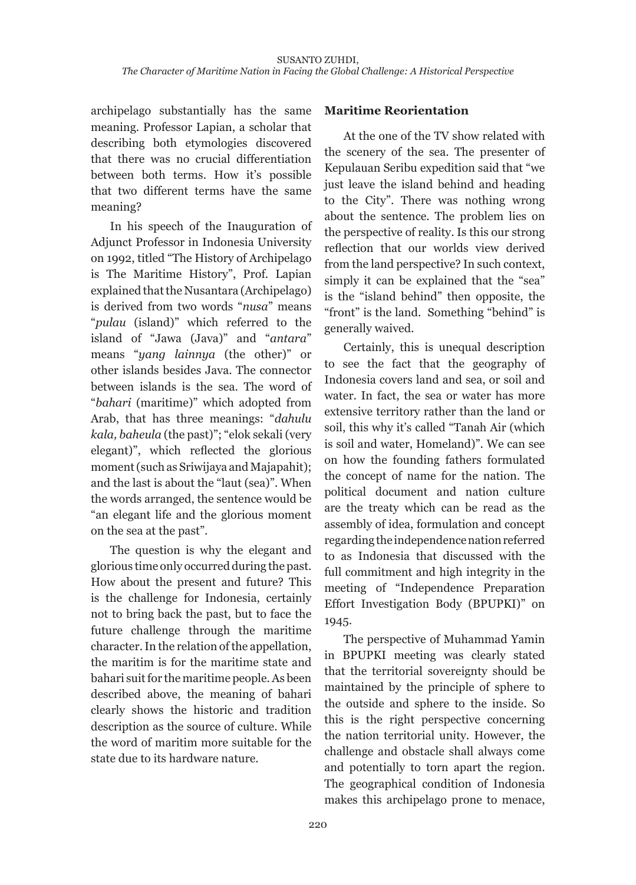archipelago substantially has the same meaning. Professor Lapian, a scholar that describing both etymologies discovered that there was no crucial differentiation between both terms. How it's possible that two different terms have the same meaning?

In his speech of the Inauguration of Adjunct Professor in Indonesia University on 1992, titled "The History of Archipelago is The Maritime History", Prof. Lapian explained that the Nusantara (Archipelago) is derived from two words "*nusa*" means "*pulau* (island)" which referred to the island of "Jawa (Java)" and "*antara*" means "*yang lainnya* (the other)" or other islands besides Java. The connector between islands is the sea. The word of "*bahari* (maritime)" which adopted from Arab, that has three meanings: "*dahulu kala, baheula* (the past)"; "elok sekali (very elegant)", which reflected the glorious moment (such as Sriwijaya and Majapahit); and the last is about the "laut (sea)". When the words arranged, the sentence would be "an elegant life and the glorious moment on the sea at the past".

The question is why the elegant and glorious time only occurred during the past. How about the present and future? This is the challenge for Indonesia, certainly not to bring back the past, but to face the future challenge through the maritime character. In the relation of the appellation, the maritim is for the maritime state and bahari suit for the maritime people. As been described above, the meaning of bahari clearly shows the historic and tradition description as the source of culture. While the word of maritim more suitable for the state due to its hardware nature.

## **Maritime Reorientation**

At the one of the TV show related with the scenery of the sea. The presenter of Kepulauan Seribu expedition said that "we just leave the island behind and heading to the City". There was nothing wrong about the sentence. The problem lies on the perspective of reality. Is this our strong reflection that our worlds view derived from the land perspective? In such context, simply it can be explained that the "sea" is the "island behind" then opposite, the "front" is the land. Something "behind" is generally waived.

Certainly, this is unequal description to see the fact that the geography of Indonesia covers land and sea, or soil and water. In fact, the sea or water has more extensive territory rather than the land or soil, this why it's called "Tanah Air (which is soil and water, Homeland)". We can see on how the founding fathers formulated the concept of name for the nation. The political document and nation culture are the treaty which can be read as the assembly of idea, formulation and concept regarding the independence nation referred to as Indonesia that discussed with the full commitment and high integrity in the meeting of "Independence Preparation Effort Investigation Body (BPUPKI)" on 1945.

The perspective of Muhammad Yamin in BPUPKI meeting was clearly stated that the territorial sovereignty should be maintained by the principle of sphere to the outside and sphere to the inside. So this is the right perspective concerning the nation territorial unity. However, the challenge and obstacle shall always come and potentially to torn apart the region. The geographical condition of Indonesia makes this archipelago prone to menace,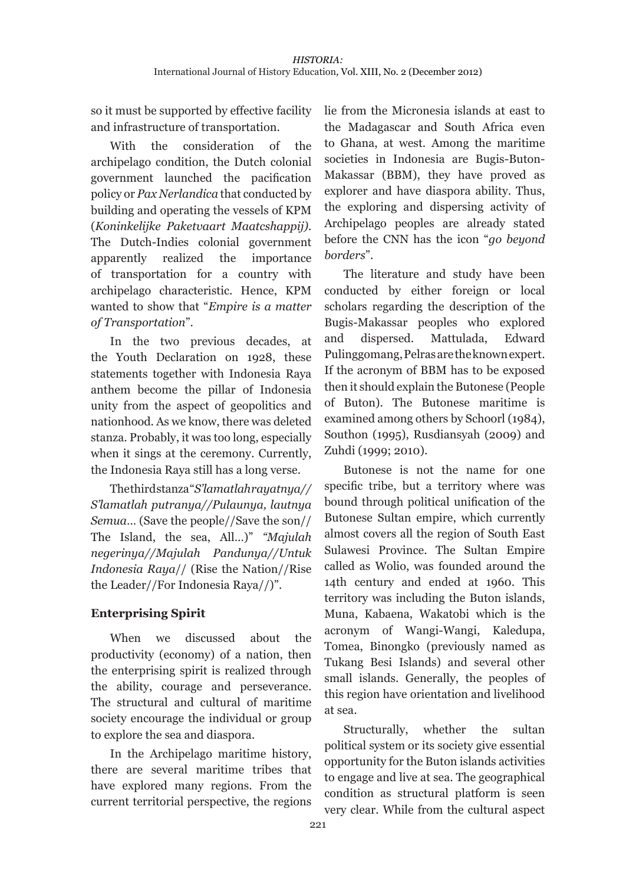so it must be supported by effective facility and infrastructure of transportation.

With the consideration of the archipelago condition, the Dutch colonial government launched the pacification policy or *Pax Nerlandica* that conducted by building and operating the vessels of KPM (*Koninkelijke Paketvaart Maatcshappij)*. The Dutch-Indies colonial government apparently realized the importance of transportation for a country with archipelago characteristic. Hence, KPM wanted to show that "*Empire is a matter of Transportation*".

In the two previous decades, at the Youth Declaration on 1928, these statements together with Indonesia Raya anthem become the pillar of Indonesia unity from the aspect of geopolitics and nationhood. As we know, there was deleted stanza. Probably, it was too long, especially when it sings at the ceremony. Currently, the Indonesia Raya still has a long verse.

The third stanza "*S'lamatlah rayatnya// S'lamatlah putranya//Pulaunya, lautnya Semua*… (Save the people//Save the son// The Island, the sea, All…)" *"Majulah negerinya//Majulah Pandunya//Untuk Indonesia Raya*// (Rise the Nation//Rise the Leader//For Indonesia Raya//)".

# **Enterprising Spirit**

When we discussed about the productivity (economy) of a nation, then the enterprising spirit is realized through the ability, courage and perseverance. The structural and cultural of maritime society encourage the individual or group to explore the sea and diaspora.

In the Archipelago maritime history, there are several maritime tribes that have explored many regions. From the current territorial perspective, the regions

lie from the Micronesia islands at east to the Madagascar and South Africa even to Ghana, at west. Among the maritime societies in Indonesia are Bugis-Buton-Makassar (BBM), they have proved as explorer and have diaspora ability. Thus, the exploring and dispersing activity of Archipelago peoples are already stated before the CNN has the icon "*go beyond borders*".

The literature and study have been conducted by either foreign or local scholars regarding the description of the Bugis-Makassar peoples who explored and dispersed. Mattulada, Edward Pulinggomang, Pelras are the known expert. If the acronym of BBM has to be exposed then it should explain the Butonese (People of Buton). The Butonese maritime is examined among others by Schoorl (1984), Southon (1995), Rusdiansyah (2009) and Zuhdi (1999; 2010).

Butonese is not the name for one specific tribe, but a territory where was bound through political unification of the Butonese Sultan empire, which currently almost covers all the region of South East Sulawesi Province. The Sultan Empire called as Wolio, was founded around the 14th century and ended at 1960. This territory was including the Buton islands, Muna, Kabaena, Wakatobi which is the acronym of Wangi-Wangi, Kaledupa, Tomea, Binongko (previously named as Tukang Besi Islands) and several other small islands. Generally, the peoples of this region have orientation and livelihood at sea.

Structurally, whether the sultan political system or its society give essential opportunity for the Buton islands activities to engage and live at sea. The geographical condition as structural platform is seen very clear. While from the cultural aspect